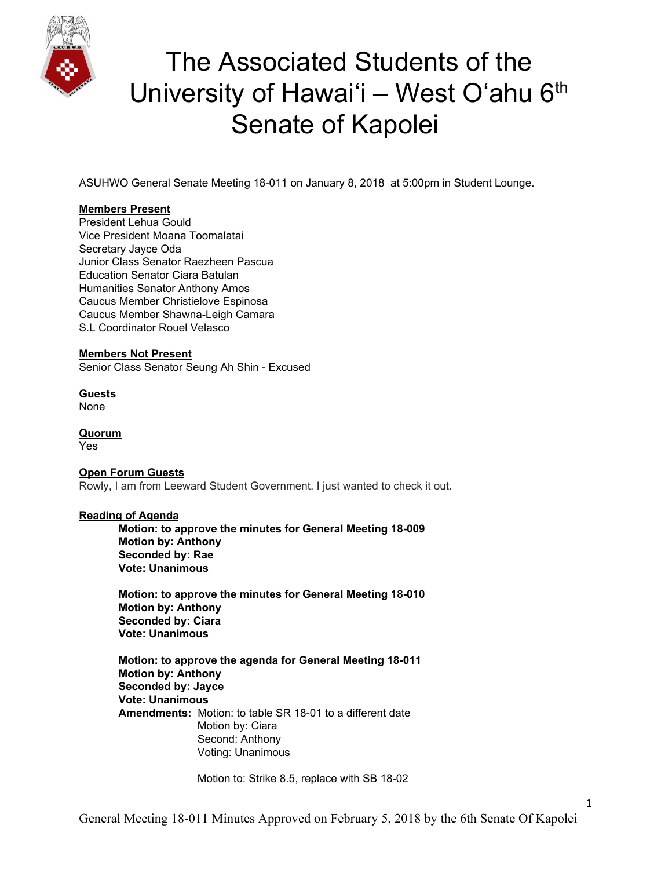

ASUHWO General Senate Meeting 18-011 on January 8, 2018 at 5:00pm in Student Lounge.

### **Members Present**

President Lehua Gould Vice President Moana Toomalatai Secretary Jayce Oda Junior Class Senator Raezheen Pascua Education Senator Ciara Batulan Humanities Senator Anthony Amos Caucus Member Christielove Espinosa Caucus Member Shawna-Leigh Camara S.L Coordinator Rouel Velasco

### **Members Not Present**

Senior Class Senator Seung Ah Shin - Excused

**Guests** None

**Quorum** Yes

### **Open Forum Guests**

Rowly, I am from Leeward Student Government. I just wanted to check it out.

### **Reading of Agenda**

**Motion: to approve the minutes for General Meeting 18-009 Motion by: Anthony Seconded by: Rae Vote: Unanimous**

**Motion: to approve the minutes for General Meeting 18-010 Motion by: Anthony Seconded by: Ciara Vote: Unanimous**

**Motion: to approve the agenda for General Meeting 18-011 Motion by: Anthony Seconded by: Jayce Vote: Unanimous Amendments:** Motion: to table SR 18-01 to a different date Motion by: Ciara Second: Anthony Voting: Unanimous

Motion to: Strike 8.5, replace with SB 18-02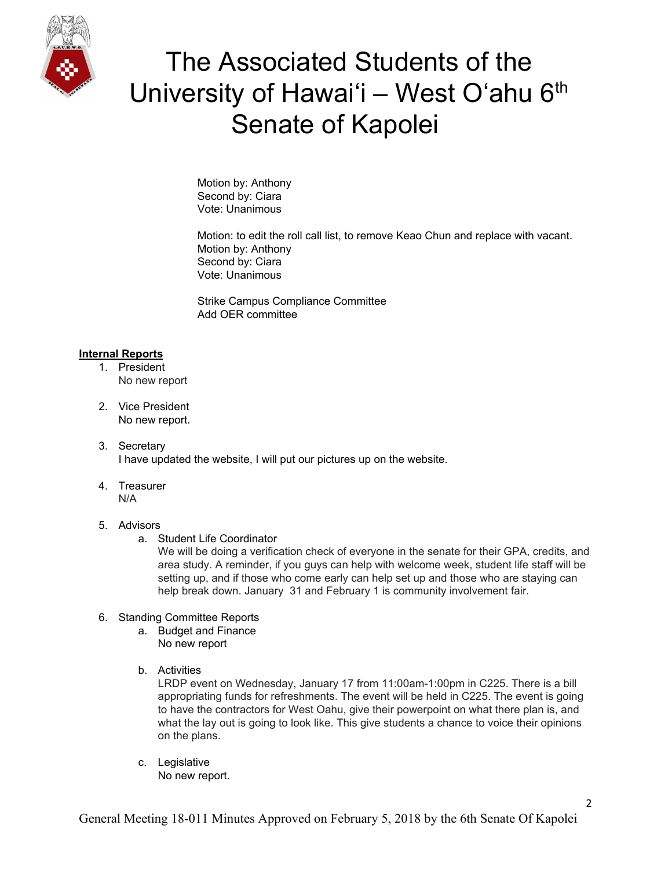

Motion by: Anthony Second by: Ciara Vote: Unanimous

Motion: to edit the roll call list, to remove Keao Chun and replace with vacant. Motion by: Anthony Second by: Ciara Vote: Unanimous

Strike Campus Compliance Committee Add OER committee

### **Internal Reports**

- 1. President No new report
- 2. Vice President No new report.
- 3. Secretary I have updated the website, I will put our pictures up on the website.
- 4. Treasurer N/A

### 5. Advisors

a. Student Life Coordinator

We will be doing a verification check of everyone in the senate for their GPA, credits, and area study. A reminder, if you guys can help with welcome week, student life staff will be setting up, and if those who come early can help set up and those who are staying can help break down. January 31 and February 1 is community involvement fair.

### 6. Standing Committee Reports

- a. Budget and Finance No new report
- b. Activities

LRDP event on Wednesday, January 17 from 11:00am-1:00pm in C225. There is a bill appropriating funds for refreshments. The event will be held in C225. The event is going to have the contractors for West Oahu, give their powerpoint on what there plan is, and what the lay out is going to look like. This give students a chance to voice their opinions on the plans.

c. Legislative No new report.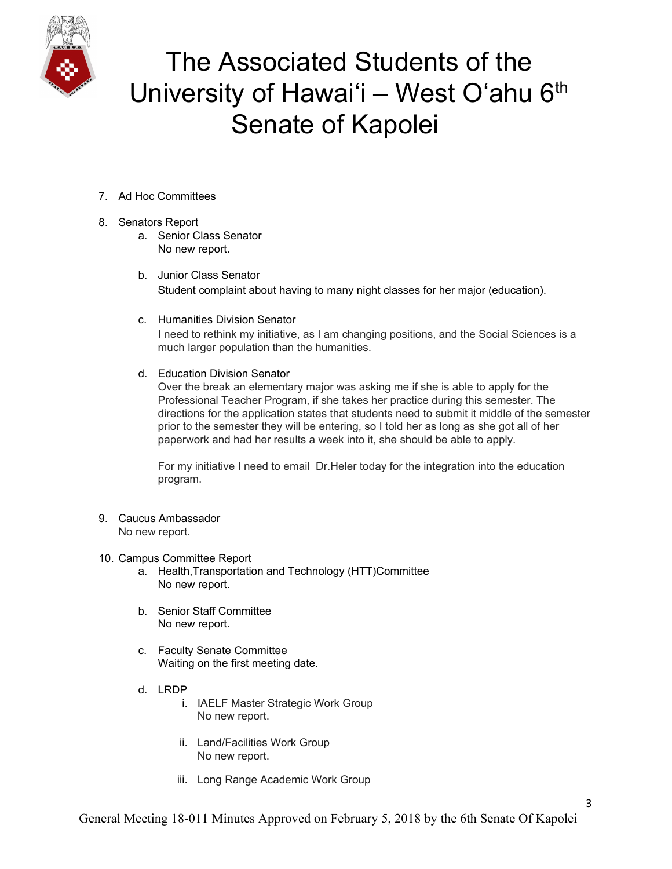

- 7. Ad Hoc Committees
- 8. Senators Report
	- a. Senior Class Senator No new report.
	- b. Junior Class Senator Student complaint about having to many night classes for her major (education).
	- c. Humanities Division Senator I need to rethink my initiative, as I am changing positions, and the Social Sciences is a much larger population than the humanities.
	- d. Education Division Senator

Over the break an elementary major was asking me if she is able to apply for the Professional Teacher Program, if she takes her practice during this semester. The directions for the application states that students need to submit it middle of the semester prior to the semester they will be entering, so I told her as long as she got all of her paperwork and had her results a week into it, she should be able to apply.

For my initiative I need to email Dr.Heler today for the integration into the education program.

9. Caucus Ambassador No new report.

### 10. Campus Committee Report

- a. Health,Transportation and Technology (HTT)Committee No new report.
- b. Senior Staff Committee No new report.
- c. Faculty Senate Committee Waiting on the first meeting date.
- d. LRDP
	- i. IAELF Master Strategic Work Group No new report.
	- ii. Land/Facilities Work Group No new report.
	- iii. Long Range Academic Work Group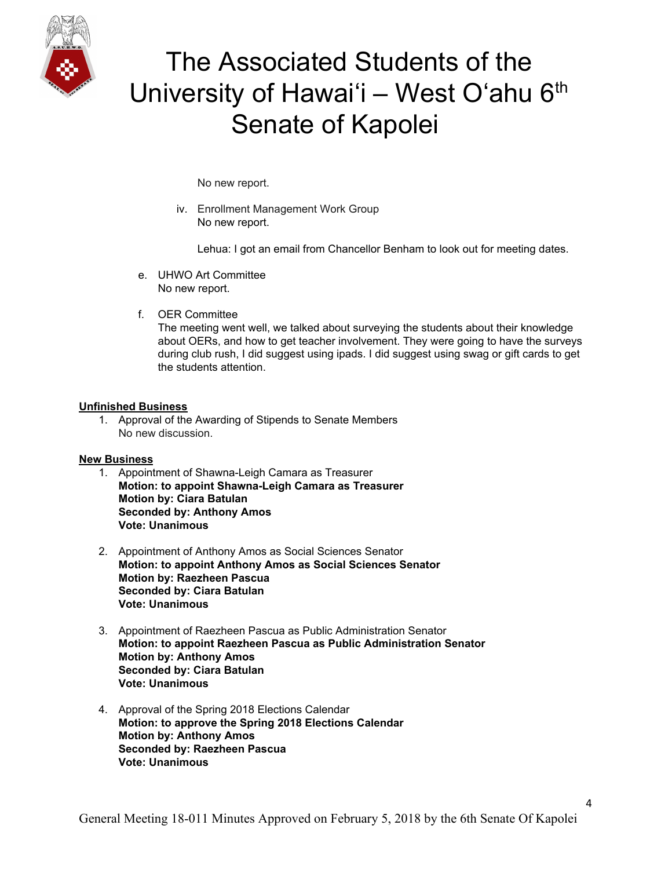

No new report.

iv. Enrollment Management Work Group No new report.

Lehua: I got an email from Chancellor Benham to look out for meeting dates.

- e. UHWO Art Committee No new report.
- f. OER Committee

The meeting went well, we talked about surveying the students about their knowledge about OERs, and how to get teacher involvement. They were going to have the surveys during club rush, I did suggest using ipads. I did suggest using swag or gift cards to get the students attention.

### **Unfinished Business**

1. Approval of the Awarding of Stipends to Senate Members No new discussion.

### **New Business**

- 1. Appointment of Shawna-Leigh Camara as Treasurer **Motion: to appoint Shawna-Leigh Camara as Treasurer Motion by: Ciara Batulan Seconded by: Anthony Amos Vote: Unanimous**
- 2. Appointment of Anthony Amos as Social Sciences Senator **Motion: to appoint Anthony Amos as Social Sciences Senator Motion by: Raezheen Pascua Seconded by: Ciara Batulan Vote: Unanimous**
- 3. Appointment of Raezheen Pascua as Public Administration Senator **Motion: to appoint Raezheen Pascua as Public Administration Senator Motion by: Anthony Amos Seconded by: Ciara Batulan Vote: Unanimous**
- 4. Approval of the Spring 2018 Elections Calendar **Motion: to approve the Spring 2018 Elections Calendar Motion by: Anthony Amos Seconded by: Raezheen Pascua Vote: Unanimous**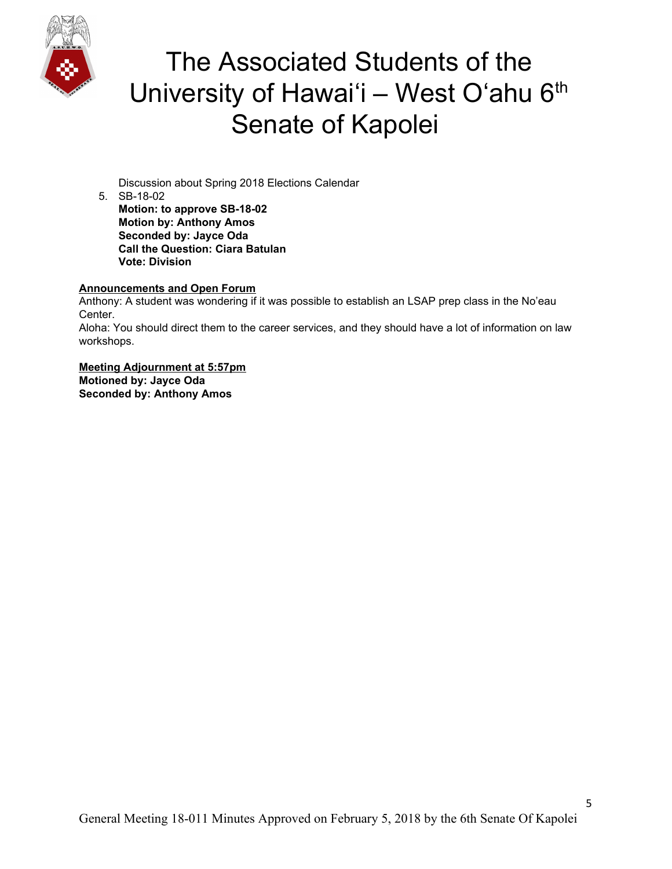

Discussion about Spring 2018 Elections Calendar

5. SB-18-02 **Motion: to approve SB-18-02 Motion by: Anthony Amos Seconded by: Jayce Oda Call the Question: Ciara Batulan Vote: Division**

### **Announcements and Open Forum**

Anthony: A student was wondering if it was possible to establish an LSAP prep class in the No'eau Center. Aloha: You should direct them to the career services, and they should have a lot of information on law workshops.

**Meeting Adjournment at 5:57pm Motioned by: Jayce Oda Seconded by: Anthony Amos**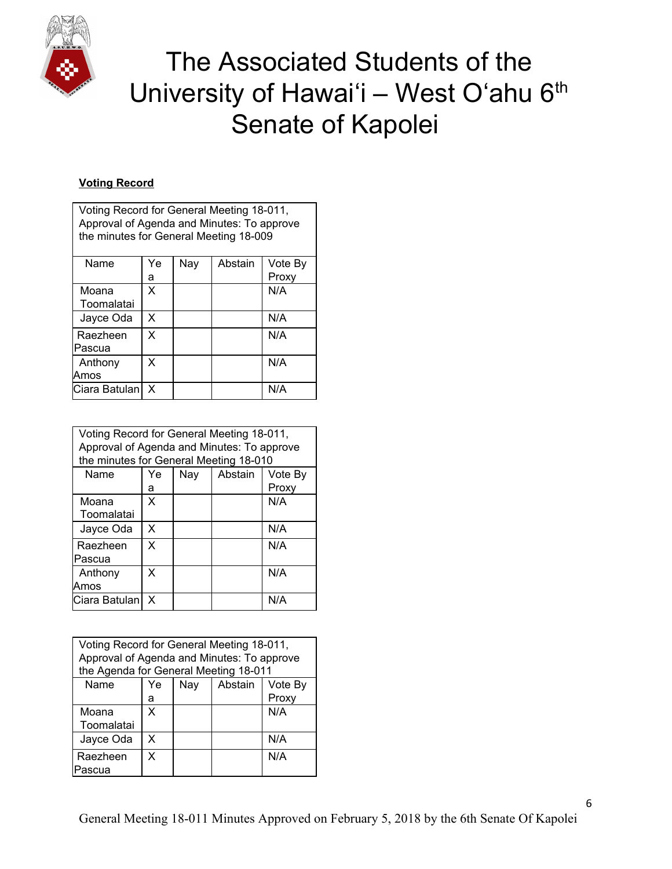

## **Voting Record**

| Voting Record for General Meeting 18-011,  |
|--------------------------------------------|
| Approval of Agenda and Minutes: To approve |
| the minutes for General Meeting 18-009     |

| Name          | Ye | Nay | Abstain | Vote By |
|---------------|----|-----|---------|---------|
|               | а  |     |         | Proxy   |
| Moana         | X  |     |         | N/A     |
| Toomalatai    |    |     |         |         |
| Jayce Oda     | X  |     |         | N/A     |
| Raezheen      | X  |     |         | N/A     |
| Pascua        |    |     |         |         |
| Anthony       | X  |     |         | N/A     |
| Amos          |    |     |         |         |
| Ciara Batulan | X  |     |         | N/A     |

| Voting Record for General Meeting 18-011,<br>Approval of Agenda and Minutes: To approve<br>the minutes for General Meeting 18-010 |    |     |         |         |
|-----------------------------------------------------------------------------------------------------------------------------------|----|-----|---------|---------|
| Name                                                                                                                              | Ye | Nay | Abstain | Vote By |
|                                                                                                                                   | а  |     |         | Proxy   |
| Moana                                                                                                                             | X  |     |         | N/A     |
| Toomalatai                                                                                                                        |    |     |         |         |
| Jayce Oda                                                                                                                         | X  |     |         | N/A     |
| Raezheen                                                                                                                          | X  |     |         | N/A     |
| lPascua                                                                                                                           |    |     |         |         |
| Anthony                                                                                                                           | x  |     |         | N/A     |
| Amos                                                                                                                              |    |     |         |         |
| Ciara Batulan                                                                                                                     | x  |     |         | N/A     |

| Voting Record for General Meeting 18-011,<br>Approval of Agenda and Minutes: To approve<br>the Agenda for General Meeting 18-011 |                                 |  |  |       |  |
|----------------------------------------------------------------------------------------------------------------------------------|---------------------------------|--|--|-------|--|
| Name                                                                                                                             | Abstain<br>Nay<br>Vote By<br>Ye |  |  |       |  |
|                                                                                                                                  | а                               |  |  | Proxy |  |
| Moana                                                                                                                            | x                               |  |  | N/A   |  |
| Toomalatai                                                                                                                       |                                 |  |  |       |  |
| Jayce Oda                                                                                                                        | X                               |  |  | N/A   |  |
| Raezheen                                                                                                                         | x                               |  |  | N/A   |  |
| Pascua                                                                                                                           |                                 |  |  |       |  |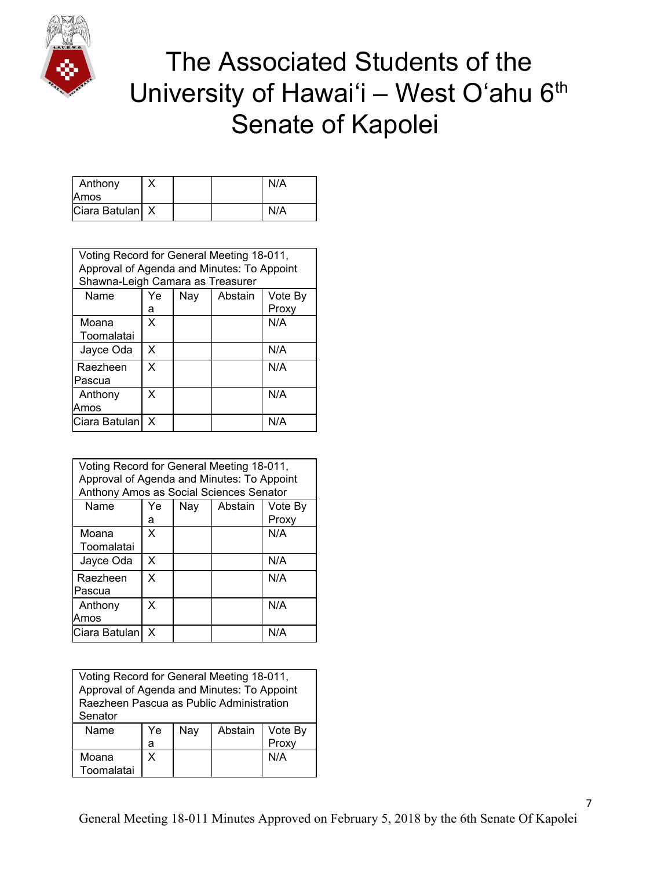

| Anthony<br>Amos   |  | N/A |
|-------------------|--|-----|
| Ciara Batulan   X |  | N/A |

| Voting Record for General Meeting 18-011,<br>Approval of Agenda and Minutes: To Appoint |    |     |         |         |
|-----------------------------------------------------------------------------------------|----|-----|---------|---------|
| Shawna-Leigh Camara as Treasurer                                                        |    |     |         |         |
| Name                                                                                    | Ye | Nay | Abstain | Vote By |
|                                                                                         | а  |     |         | Proxy   |
| Moana                                                                                   | X  |     |         | N/A     |
| Toomalatai                                                                              |    |     |         |         |
| Jayce Oda                                                                               | X  |     |         | N/A     |
| Raezheen                                                                                | X  |     |         | N/A     |
| Pascua                                                                                  |    |     |         |         |
| Anthony                                                                                 | X  |     |         | N/A     |
| Amos                                                                                    |    |     |         |         |
| lCiara Batulan                                                                          | x  |     |         | N/A     |

| Voting Record for General Meeting 18-011,<br>Approval of Agenda and Minutes: To Appoint<br>Anthony Amos as Social Sciences Senator |         |     |         |                  |
|------------------------------------------------------------------------------------------------------------------------------------|---------|-----|---------|------------------|
| Name                                                                                                                               | Ye<br>а | Nay | Abstain | Vote By<br>Proxy |
| Moana<br>Toomalatai                                                                                                                | X       |     |         | N/A              |
| Jayce Oda                                                                                                                          | x       |     |         | N/A              |
| Raezheen<br>Pascua                                                                                                                 | X       |     |         | N/A              |
| Anthony<br>Amos                                                                                                                    | X       |     |         | N/A              |
| Ciara Batulan                                                                                                                      | X       |     |         | N/A              |

| Voting Record for General Meeting 18-011,<br>Approval of Agenda and Minutes: To Appoint<br>Raezheen Pascua as Public Administration<br>Senator |    |     |         |         |  |  |
|------------------------------------------------------------------------------------------------------------------------------------------------|----|-----|---------|---------|--|--|
| Name                                                                                                                                           | Ye | Nay | Abstain | Vote By |  |  |
| Proxy<br>а                                                                                                                                     |    |     |         |         |  |  |
| N/A<br>x<br>Moana<br>Toomalatai                                                                                                                |    |     |         |         |  |  |